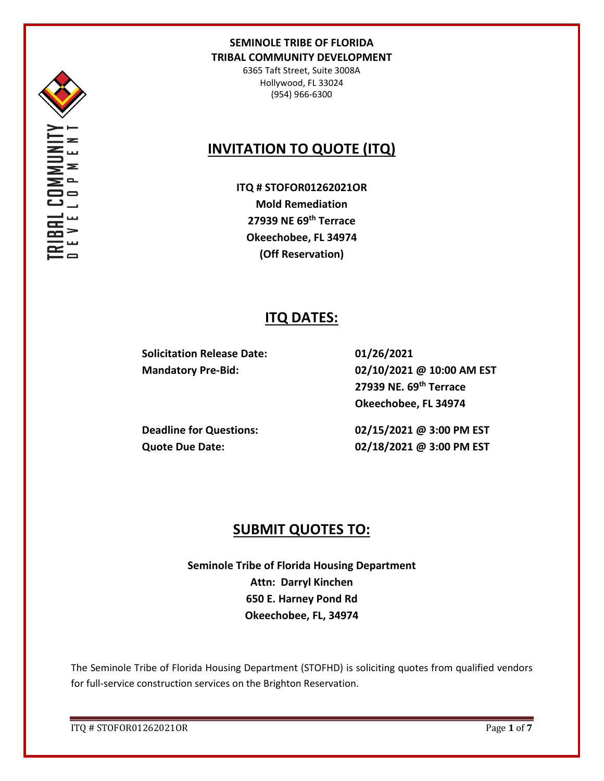

6365 Taft Street, Suite 3008A Hollywood, FL 33024 (954) 966-6300

# **INVITATION TO QUOTE (ITQ)**

**ITQ # STOFOR01262021OR Mold Remediation 27939 NE 69th Terrace Okeechobee, FL 34974 (Off Reservation)**

## **ITQ DATES:**

**Solicitation Release Date: 01/26/2021**

**Mandatory Pre-Bid: 02/10/2021 @ 10:00 AM EST 27939 NE. 69th Terrace Okeechobee, FL 34974**

**Deadline for Questions: 02/15/2021 @ 3:00 PM EST Quote Due Date: 02/18/2021 @ 3:00 PM EST**

## **SUBMIT QUOTES TO:**

**Seminole Tribe of Florida Housing Department Attn: Darryl Kinchen 650 E. Harney Pond Rd Okeechobee, FL, 34974**

The Seminole Tribe of Florida Housing Department (STOFHD) is soliciting quotes from qualified vendors for full-service construction services on the Brighton Reservation.

ITQ # STOFOR01262021OR Page **1** of **7**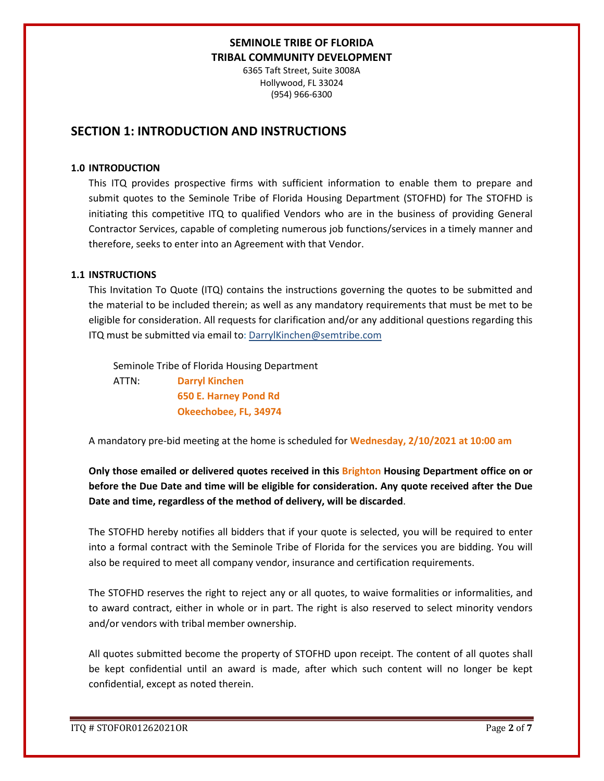6365 Taft Street, Suite 3008A Hollywood, FL 33024 (954) 966-6300

## **SECTION 1: INTRODUCTION AND INSTRUCTIONS**

### **1.0 INTRODUCTION**

This ITQ provides prospective firms with sufficient information to enable them to prepare and submit quotes to the Seminole Tribe of Florida Housing Department (STOFHD) for The STOFHD is initiating this competitive ITQ to qualified Vendors who are in the business of providing General Contractor Services, capable of completing numerous job functions/services in a timely manner and therefore, seeks to enter into an Agreement with that Vendor.

### **1.1 INSTRUCTIONS**

This Invitation To Quote (ITQ) contains the instructions governing the quotes to be submitted and the material to be included therein; as well as any mandatory requirements that must be met to be eligible for consideration. All requests for clarification and/or any additional questions regarding this ITQ must be submitted via email to: DarrylKinchen@semtribe.com

 Seminole Tribe of Florida Housing Department ATTN: **Darryl Kinchen**

 **650 E. Harney Pond Rd Okeechobee, FL, 34974**

A mandatory pre-bid meeting at the home is scheduled for **Wednesday, 2/10/2021 at 10:00 am**

**Only those emailed or delivered quotes received in this Brighton Housing Department office on or before the Due Date and time will be eligible for consideration. Any quote received after the Due Date and time, regardless of the method of delivery, will be discarded**.

The STOFHD hereby notifies all bidders that if your quote is selected, you will be required to enter into a formal contract with the Seminole Tribe of Florida for the services you are bidding. You will also be required to meet all company vendor, insurance and certification requirements.

The STOFHD reserves the right to reject any or all quotes, to waive formalities or informalities, and to award contract, either in whole or in part. The right is also reserved to select minority vendors and/or vendors with tribal member ownership.

All quotes submitted become the property of STOFHD upon receipt. The content of all quotes shall be kept confidential until an award is made, after which such content will no longer be kept confidential, except as noted therein.

ITQ # STOFOR01262021OR Page **2** of **7**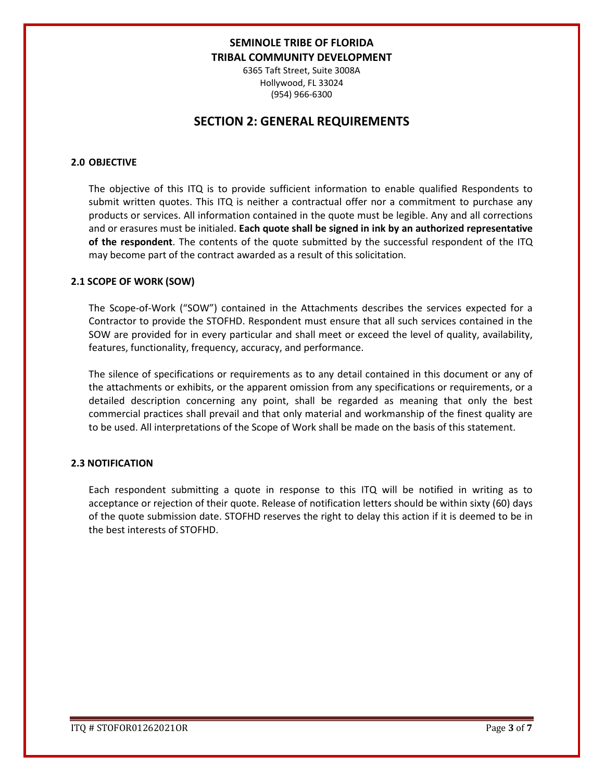6365 Taft Street, Suite 3008A Hollywood, FL 33024 (954) 966-6300

## **SECTION 2: GENERAL REQUIREMENTS**

### **2.0 OBJECTIVE**

The objective of this ITQ is to provide sufficient information to enable qualified Respondents to submit written quotes. This ITQ is neither a contractual offer nor a commitment to purchase any products or services. All information contained in the quote must be legible. Any and all corrections and or erasures must be initialed. **Each quote shall be signed in ink by an authorized representative of the respondent**. The contents of the quote submitted by the successful respondent of the ITQ may become part of the contract awarded as a result of this solicitation.

#### **2.1 SCOPE OF WORK (SOW)**

The Scope-of-Work ("SOW") contained in the Attachments describes the services expected for a Contractor to provide the STOFHD. Respondent must ensure that all such services contained in the SOW are provided for in every particular and shall meet or exceed the level of quality, availability, features, functionality, frequency, accuracy, and performance.

The silence of specifications or requirements as to any detail contained in this document or any of the attachments or exhibits, or the apparent omission from any specifications or requirements, or a detailed description concerning any point, shall be regarded as meaning that only the best commercial practices shall prevail and that only material and workmanship of the finest quality are to be used. All interpretations of the Scope of Work shall be made on the basis of this statement.

#### **2.3 NOTIFICATION**

Each respondent submitting a quote in response to this ITQ will be notified in writing as to acceptance or rejection of their quote. Release of notification letters should be within sixty (60) days of the quote submission date. STOFHD reserves the right to delay this action if it is deemed to be in the best interests of STOFHD.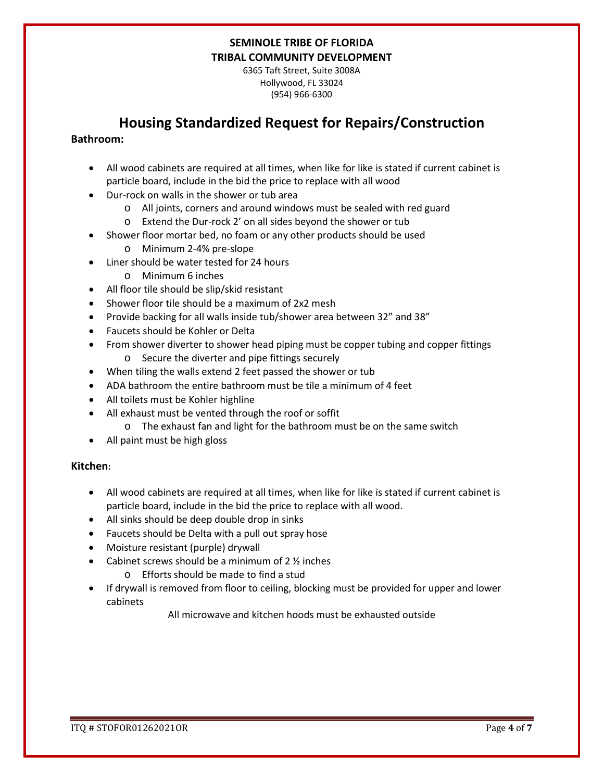6365 Taft Street, Suite 3008A Hollywood, FL 33024 (954) 966-6300

## **Housing Standardized Request for Repairs/Construction**

### **Bathroom:**

- All wood cabinets are required at all times, when like for like is stated if current cabinet is particle board, include in the bid the price to replace with all wood
- Dur-rock on walls in the shower or tub area
	- o All joints, corners and around windows must be sealed with red guard
	- o Extend the Dur-rock 2' on all sides beyond the shower or tub
- Shower floor mortar bed, no foam or any other products should be used
	- o Minimum 2-4% pre-slope
- Liner should be water tested for 24 hours
	- o Minimum 6 inches
- All floor tile should be slip/skid resistant
- Shower floor tile should be a maximum of 2x2 mesh
- Provide backing for all walls inside tub/shower area between 32" and 38"
- Faucets should be Kohler or Delta
- From shower diverter to shower head piping must be copper tubing and copper fittings o Secure the diverter and pipe fittings securely
- When tiling the walls extend 2 feet passed the shower or tub
- ADA bathroom the entire bathroom must be tile a minimum of 4 feet
- All toilets must be Kohler highline
- All exhaust must be vented through the roof or soffit
	- o The exhaust fan and light for the bathroom must be on the same switch
- All paint must be high gloss

### **Kitchen:**

- All wood cabinets are required at all times, when like for like is stated if current cabinet is particle board, include in the bid the price to replace with all wood.
- All sinks should be deep double drop in sinks
- Faucets should be Delta with a pull out spray hose
- Moisture resistant (purple) drywall
- Cabinet screws should be a minimum of  $2 \frac{1}{2}$  inches
	- o Efforts should be made to find a stud
- If drywall is removed from floor to ceiling, blocking must be provided for upper and lower cabinets

All microwave and kitchen hoods must be exhausted outside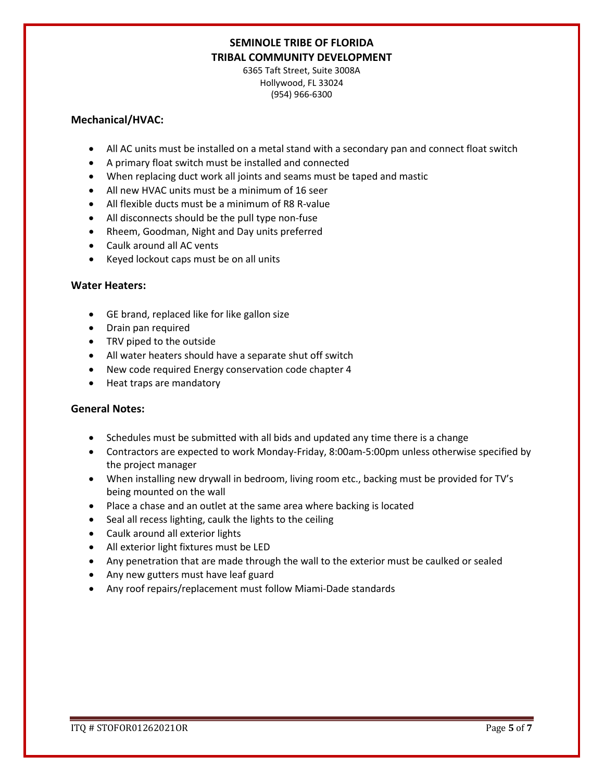6365 Taft Street, Suite 3008A Hollywood, FL 33024 (954) 966-6300

### **Mechanical/HVAC:**

- All AC units must be installed on a metal stand with a secondary pan and connect float switch
- A primary float switch must be installed and connected
- When replacing duct work all joints and seams must be taped and mastic
- All new HVAC units must be a minimum of 16 seer
- All flexible ducts must be a minimum of R8 R-value
- All disconnects should be the pull type non-fuse
- Rheem, Goodman, Night and Day units preferred
- Caulk around all AC vents
- Keyed lockout caps must be on all units

### **Water Heaters:**

- GE brand, replaced like for like gallon size
- Drain pan required
- TRV piped to the outside
- All water heaters should have a separate shut off switch
- New code required Energy conservation code chapter 4
- Heat traps are mandatory

### **General Notes:**

- Schedules must be submitted with all bids and updated any time there is a change
- Contractors are expected to work Monday-Friday, 8:00am-5:00pm unless otherwise specified by the project manager
- When installing new drywall in bedroom, living room etc., backing must be provided for TV's being mounted on the wall
- Place a chase and an outlet at the same area where backing is located
- Seal all recess lighting, caulk the lights to the ceiling
- Caulk around all exterior lights
- All exterior light fixtures must be LED
- Any penetration that are made through the wall to the exterior must be caulked or sealed
- Any new gutters must have leaf guard
- Any roof repairs/replacement must follow Miami-Dade standards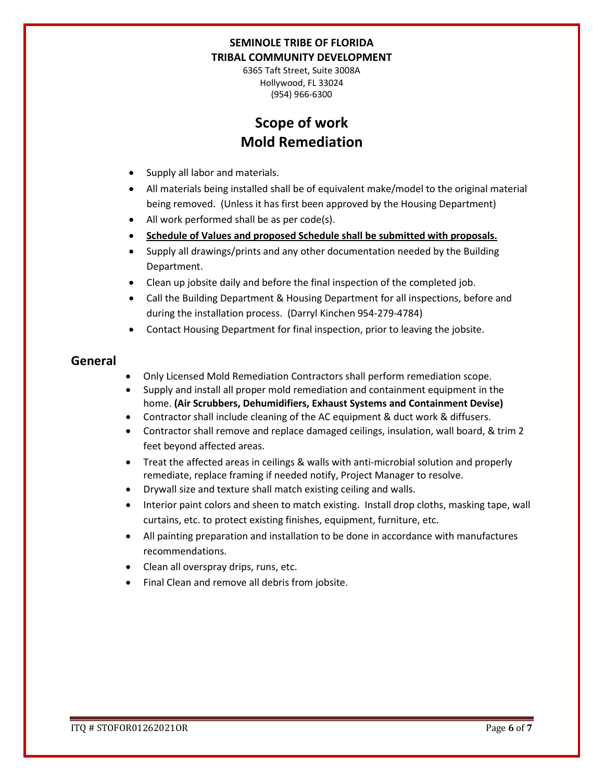6365 Taft Street, Suite 3008A Hollywood, FL 33024 (954) 966-6300

# **Scope of work Mold Remediation**

- Supply all labor and materials.
- All materials being installed shall be of equivalent make/model to the original material being removed. (Unless it has first been approved by the Housing Department)
- All work performed shall be as per code(s).
- **Schedule of Values and proposed Schedule shall be submitted with proposals.**
- Supply all drawings/prints and any other documentation needed by the Building Department.
- Clean up jobsite daily and before the final inspection of the completed job.
- Call the Building Department & Housing Department for all inspections, before and during the installation process. (Darryl Kinchen 954-279-4784)
- Contact Housing Department for final inspection, prior to leaving the jobsite.

### **General**

- Only Licensed Mold Remediation Contractors shall perform remediation scope.
- Supply and install all proper mold remediation and containment equipment in the home. **(Air Scrubbers, Dehumidifiers, Exhaust Systems and Containment Devise)**
- Contractor shall include cleaning of the AC equipment & duct work & diffusers.
- Contractor shall remove and replace damaged ceilings, insulation, wall board, & trim 2 feet beyond affected areas.
- Treat the affected areas in ceilings & walls with anti-microbial solution and properly remediate, replace framing if needed notify, Project Manager to resolve.
- Drywall size and texture shall match existing ceiling and walls.
- Interior paint colors and sheen to match existing. Install drop cloths, masking tape, wall curtains, etc. to protect existing finishes, equipment, furniture, etc.
- All painting preparation and installation to be done in accordance with manufactures recommendations.
- Clean all overspray drips, runs, etc.
- Final Clean and remove all debris from jobsite.